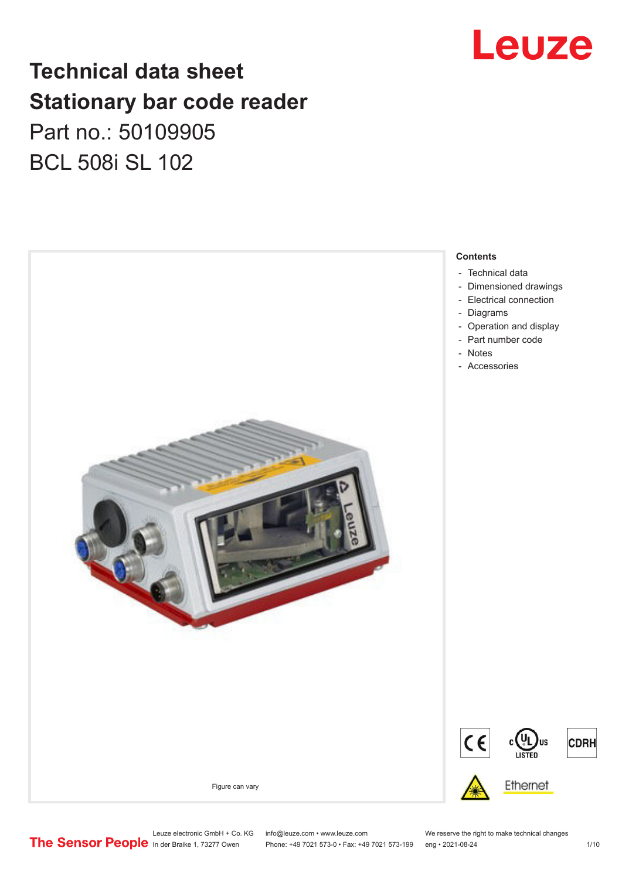

# **Technical data sheet Stationary bar code reader** Part no.: 50109905 BCL 508i SL 102



Leuze electronic GmbH + Co. KG info@leuze.com • www.leuze.com We reserve the right to make technical changes<br>
The Sensor People in der Braike 1, 73277 Owen Phone: +49 7021 573-0 • Fax: +49 7021 573-199 eng • 2021-08-24 Phone: +49 7021 573-0 • Fax: +49 7021 573-199 eng • 2021-08-24 1 1 10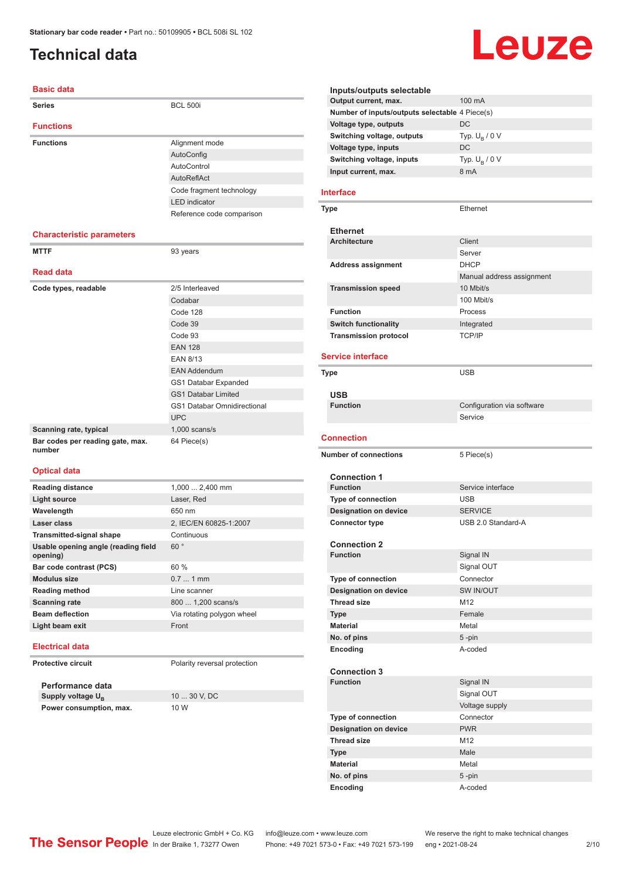# <span id="page-1-0"></span>**Technical data**

#### **Basic data**

| <b>Series</b>                              | <b>BCL 500i</b>                    |
|--------------------------------------------|------------------------------------|
| <b>Functions</b>                           |                                    |
| <b>Functions</b>                           | Alignment mode                     |
|                                            | AutoConfig                         |
|                                            | AutoControl                        |
|                                            | AutoReflAct                        |
|                                            | Code fragment technology           |
|                                            | <b>LED</b> indicator               |
|                                            | Reference code comparison          |
| <b>Characteristic parameters</b>           |                                    |
| <b>MTTF</b>                                | 93 years                           |
| <b>Read data</b>                           |                                    |
| Code types, readable                       | 2/5 Interleaved                    |
|                                            | Codabar                            |
|                                            | Code 128                           |
|                                            | Code 39                            |
|                                            | Code 93                            |
|                                            | <b>EAN 128</b>                     |
|                                            | <b>EAN 8/13</b>                    |
|                                            | <b>EAN Addendum</b>                |
|                                            | GS1 Databar Expanded               |
|                                            | <b>GS1 Databar Limited</b>         |
|                                            | <b>GS1 Databar Omnidirectional</b> |
|                                            | <b>UPC</b>                         |
| Scanning rate, typical                     | $1,000$ scans/s                    |
| Bar codes per reading gate, max.<br>number | 64 Piece(s)                        |
| مفتاح الممتلفينين                          |                                    |

#### **Optical data**

| <b>Reading distance</b>                         | 1,000  2,400 mm            |
|-------------------------------------------------|----------------------------|
| Light source                                    | Laser, Red                 |
| Wavelength                                      | 650 nm                     |
| Laser class                                     | 2, IEC/EN 60825-1:2007     |
| <b>Transmitted-signal shape</b>                 | Continuous                 |
| Usable opening angle (reading field<br>opening) | $60^{\circ}$               |
| Bar code contrast (PCS)                         | $60 \%$                    |
| <b>Modulus size</b>                             | $0.71$ mm                  |
| <b>Reading method</b>                           | Line scanner               |
| <b>Scanning rate</b>                            | 800  1,200 scans/s         |
| <b>Beam deflection</b>                          | Via rotating polygon wheel |
| Light beam exit                                 | Front                      |
|                                                 |                            |

#### **Electrical data**

**Protective circuit** Polarity reversal protection

**Performance data Supply voltage U<sub>B</sub> Power consumption, max.** 10 W

10 ... 30 V, DC

#### **Inputs/outputs selectable Output current, max.** 100 mA **Number of inputs/outputs selectable** 4 Piece(s) **Voltage type, outputs** DC **Switching voltage, outputs** Typ.<br>Voltage type, inputs DC Typ.  $U_B / 0 V$ **Voltage type, inputs Switching voltage, inputs** Typ. Unit Unit Current. max. 8 mA Typ.  $U_B / 0 V$ **Input current, max.**

Leuze

#### **Interface**

| <b>Type</b>                  | <b>Fthernet</b>           |
|------------------------------|---------------------------|
| <b>Ethernet</b>              |                           |
| <b>Architecture</b>          | Client                    |
|                              | Server                    |
| <b>Address assignment</b>    | <b>DHCP</b>               |
|                              | Manual address assignment |
| <b>Transmission speed</b>    | 10 Mbit/s                 |
|                              | 100 Mbit/s                |
| <b>Function</b>              | Process                   |
| <b>Switch functionality</b>  | Integrated                |
| <b>Transmission protocol</b> | <b>TCP/IP</b>             |

#### **Service interface**

| Type                                   | <b>USB</b>                 |
|----------------------------------------|----------------------------|
| <b>USB</b>                             |                            |
| <b>Function</b>                        | Configuration via software |
|                                        | Service                    |
| <b>Connection</b>                      |                            |
|                                        |                            |
| <b>Number of connections</b>           | 5 Piece(s)                 |
|                                        |                            |
| <b>Connection 1</b><br><b>Function</b> | Service interface          |
| <b>Type of connection</b>              | <b>USB</b>                 |
| <b>Designation on device</b>           | <b>SERVICE</b>             |
| <b>Connector type</b>                  | USB 2.0 Standard-A         |
|                                        |                            |
| <b>Connection 2</b>                    |                            |
| <b>Function</b>                        | Signal IN                  |
|                                        | Signal OUT                 |
| <b>Type of connection</b>              | Connector                  |
| <b>Designation on device</b>           | SW IN/OUT                  |
| <b>Thread size</b>                     | M <sub>12</sub>            |
| <b>Type</b>                            | Female                     |
| <b>Material</b>                        | Metal                      |
| No. of pins                            | 5-pin                      |
| Encoding                               | A-coded                    |
|                                        |                            |
| <b>Connection 3</b>                    |                            |
| <b>Function</b>                        | Signal IN                  |
|                                        | Signal OUT                 |
|                                        | Voltage supply             |
| <b>Type of connection</b>              | Connector                  |
| <b>Designation on device</b>           | <b>PWR</b>                 |
| <b>Thread size</b>                     | M <sub>12</sub>            |
| <b>Type</b>                            | Male                       |
| <b>Material</b>                        | Metal                      |
| No. of pins                            | 5-pin                      |
| Encoding                               | A-coded                    |

Leuze electronic GmbH + Co. KG info@leuze.com • www.leuze.com We reserve the right to make technical changes<br> **The Sensor People** In der Braike 1, 73277 Owen Phone: +49 7021 573-0 • Fax: +49 7021 573-199 eng • 2021-08-24 Phone: +49 7021 573-0 • Fax: +49 7021 573-199 eng • 2021-08-24 2/10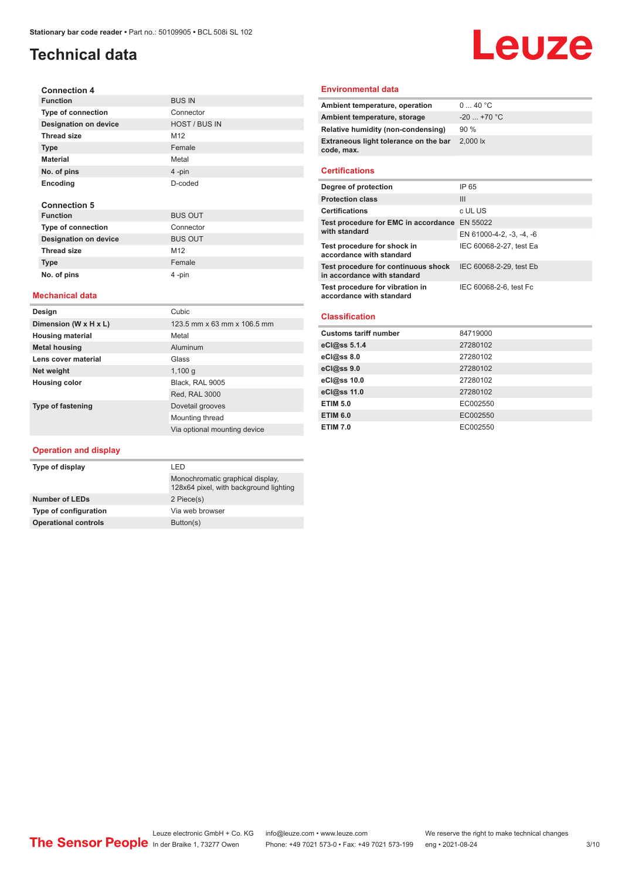# **Technical data**

#### **Connection 4 Function** BUS IN **Type of connection** Connector **Designation on device** HOST / BUS IN **Thread size** M12 **Type** Female **Material** Metal **No. of pins** 4 -pin **Encoding** D-coded **Connection 5 Function** BUS OUT **Type of connection** Connector **Designation on device** BUS OUT Thread size M12

#### **Mechanical data**

**Type Female No. of pins** 4 -pin

| Design                   | Cubic                        |
|--------------------------|------------------------------|
| Dimension (W x H x L)    | 123.5 mm x 63 mm x 106.5 mm  |
| <b>Housing material</b>  | Metal                        |
| <b>Metal housing</b>     | Aluminum                     |
| Lens cover material      | Glass                        |
| Net weight               | 1,100q                       |
| <b>Housing color</b>     | Black, RAL 9005              |
|                          | Red, RAL 3000                |
| <b>Type of fastening</b> | Dovetail grooves             |
|                          | Mounting thread              |
|                          | Via optional mounting device |

#### **Operation and display**

| I FD                                                                       |
|----------------------------------------------------------------------------|
| Monochromatic graphical display.<br>128x64 pixel, with background lighting |
| 2 Piece(s)                                                                 |
| Via web browser                                                            |
| Button(s)                                                                  |
|                                                                            |

#### **Environmental data**

| Ambient temperature, operation                      | 040 °C                         |
|-----------------------------------------------------|--------------------------------|
| Ambient temperature, storage                        | $-20$ +70 °C                   |
| Relative humidity (non-condensing)                  | 90%                            |
| Extraneous light tolerance on the bar<br>code, max. | $2,000$ $\overline{\text{lx}}$ |
|                                                     |                                |

Leuze

#### **Certifications**

| Degree of protection                                               | IP 65                    |
|--------------------------------------------------------------------|--------------------------|
| <b>Protection class</b>                                            | Ш                        |
| <b>Certifications</b>                                              | c UL US                  |
| Test procedure for EMC in accordance EN 55022                      |                          |
| with standard                                                      | EN 61000-4-2, -3, -4, -6 |
| Test procedure for shock in<br>accordance with standard            | IEC 60068-2-27, test Ea  |
| Test procedure for continuous shock<br>in accordance with standard | IEC 60068-2-29, test Eb  |
| Test procedure for vibration in<br>accordance with standard        | IEC 60068-2-6, test Fc   |

#### **Classification**

| <b>Customs tariff number</b> | 84719000 |
|------------------------------|----------|
| eCl@ss 5.1.4                 | 27280102 |
| eCl@ss 8.0                   | 27280102 |
| eCl@ss 9.0                   | 27280102 |
| eCl@ss 10.0                  | 27280102 |
| eCl@ss 11.0                  | 27280102 |
| <b>ETIM 5.0</b>              | EC002550 |
| <b>ETIM 6.0</b>              | EC002550 |
| <b>ETIM 7.0</b>              | EC002550 |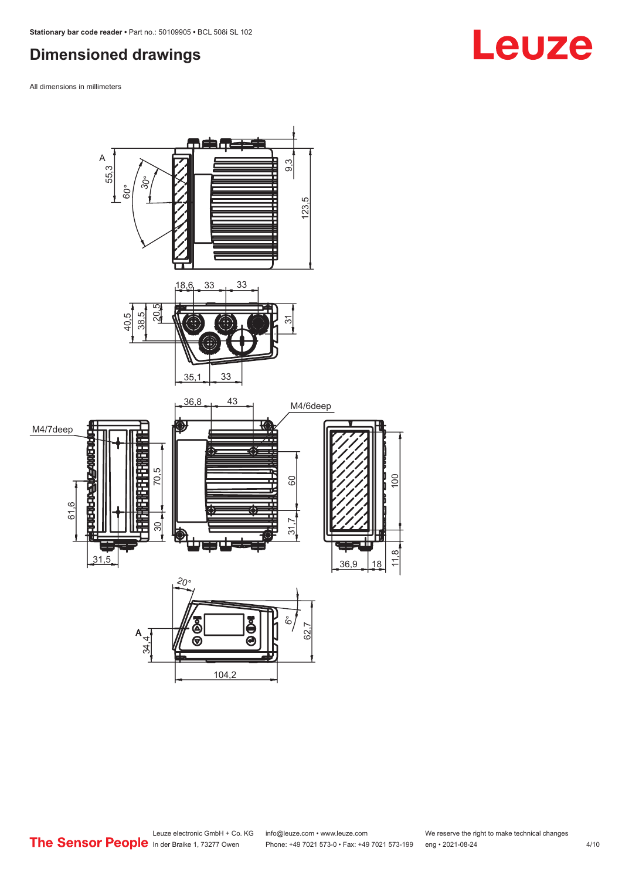# <span id="page-3-0"></span>**Dimensioned drawings**

All dimensions in millimeters



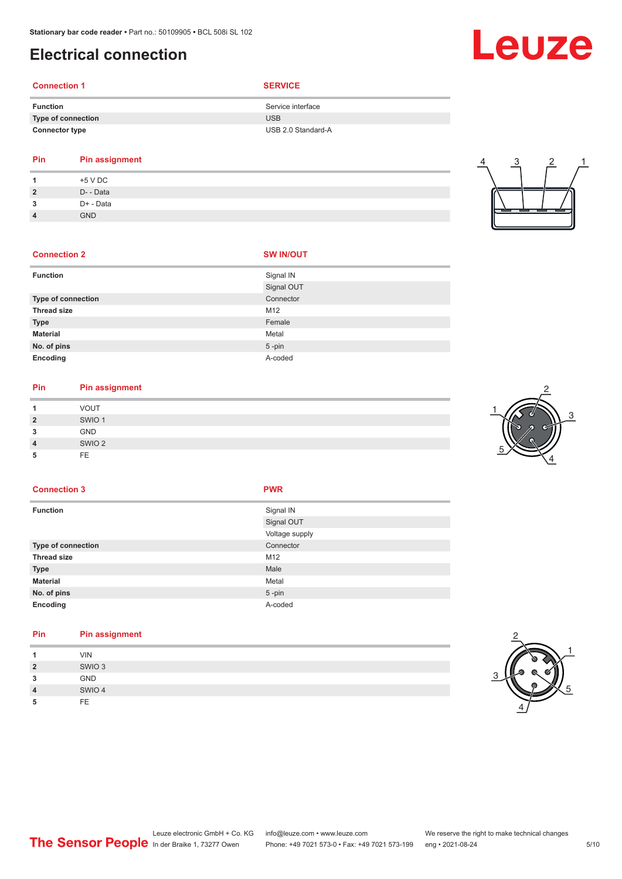# <span id="page-4-0"></span>**Electrical connection**

#### **Connection 1 SERVICE**

| <b>Function</b>       | Service interface  |
|-----------------------|--------------------|
| Type of connection    | <b>USB</b>         |
| <b>Connector type</b> | USB 2.0 Standard-A |
|                       |                    |

#### **Pin Pin assignment 1** +5 V DC

|    | TU V DU    |
|----|------------|
| -2 | D- - Data  |
| 3  | D+ - Data  |
| 4  | <b>GND</b> |

# 4 3 2 1



#### **Connection 2**

| <b>SW IN/OUT</b> |
|------------------|
|------------------|

| <b>Function</b>    | Signal IN  |
|--------------------|------------|
|                    | Signal OUT |
| Type of connection | Connector  |
| <b>Thread size</b> | M12        |
| <b>Type</b>        | Female     |
| <b>Material</b>    | Metal      |
| No. of pins        | $5$ -pin   |
| Encoding           | A-coded    |

# **Pin Pin assignment**

|    | <b>VOUT</b>       |
|----|-------------------|
| າ  | SWIO <sub>1</sub> |
| ີ  | <b>GND</b>        |
|    | SWIO <sub>2</sub> |
| 'n | FF.               |



#### **Connection 3 PWR**

|  | ۰. |  |
|--|----|--|
|  |    |  |

| <b>Function</b>    | Signal IN      |
|--------------------|----------------|
|                    | Signal OUT     |
|                    | Voltage supply |
| Type of connection | Connector      |
| <b>Thread size</b> | M12            |
| <b>Type</b>        | Male           |
| <b>Material</b>    | Metal          |
| No. of pins        | $5$ -pin       |
| Encoding           | A-coded        |

#### **Pin Pin assignment**

| 1              | <b>VIN</b>        |
|----------------|-------------------|
| $\overline{2}$ | SWIO <sub>3</sub> |
| 3              | <b>GND</b>        |
| $\overline{4}$ | SWIO 4            |
| 5              | FE                |





Leuze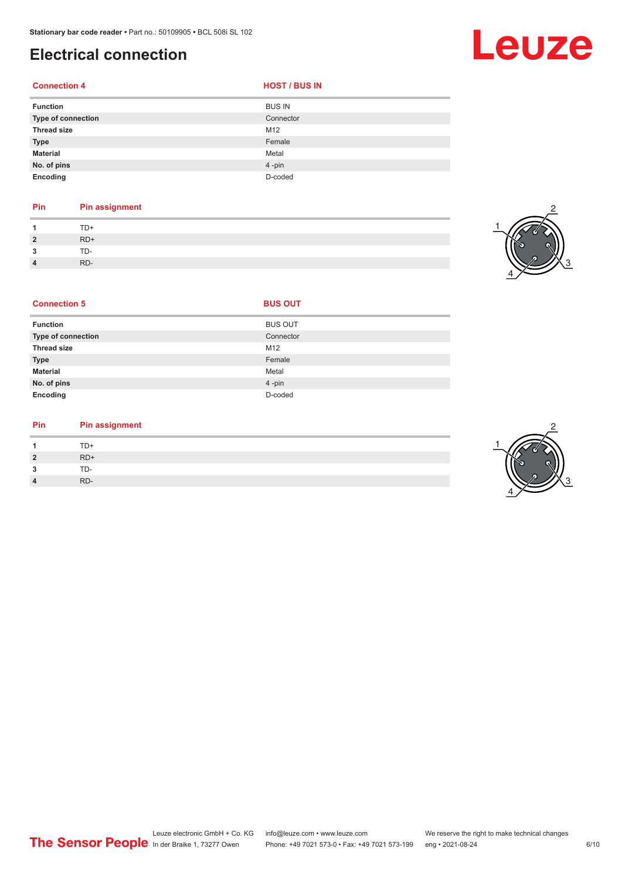# **Electrical connection**

#### **Connection 4**

| <b>HOST / BUS IN</b> |  |  |
|----------------------|--|--|
|                      |  |  |

| <b>Function</b>    | <b>BUS IN</b> |
|--------------------|---------------|
| Type of connection | Connector     |
| <b>Thread size</b> | M12           |
| <b>Type</b>        | Female        |
| <b>Material</b>    | Metal         |
| No. of pins        | 4-pin         |
| Encoding           | D-coded       |

### **Pin Pin assignment**

| -4             | TD+   |
|----------------|-------|
| $\overline{2}$ | $RD+$ |
| 2<br>ر.        | TD-   |
| 4              | RD-   |



Leuze

| <b>Connection 5</b> | <b>BUS OUT</b> |  |
|---------------------|----------------|--|
| <b>Function</b>     | <b>BUS OUT</b> |  |
| Type of connection  | Connector      |  |
| <b>Thread size</b>  | M12            |  |
| <b>Type</b>         | Female         |  |
| <b>Material</b>     | Metal          |  |
| No. of pins         | 4-pin          |  |
| Encoding            | D-coded        |  |

#### **Pin Pin assignment**

|                  | TD+   |
|------------------|-------|
| $\overline{2}$   | $RD+$ |
| ຳ<br>- 3         | TD-   |
| $\boldsymbol{4}$ | RD-   |

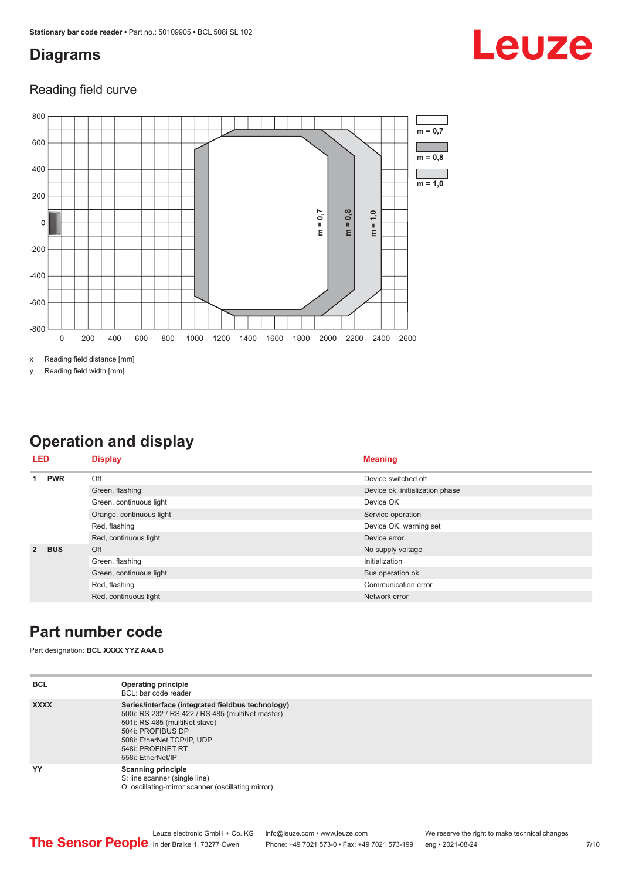# <span id="page-6-0"></span>**Diagrams**

# Leuze

#### Reading field curve



x Reading field distance [mm]

y Reading field width [mm]

# **Operation and display**

| <b>LED</b>                   | <b>Display</b>           | <b>Meaning</b>                  |
|------------------------------|--------------------------|---------------------------------|
| <b>PWR</b><br>1              | Off                      | Device switched off             |
|                              | Green, flashing          | Device ok, initialization phase |
|                              | Green, continuous light  | Device OK                       |
|                              | Orange, continuous light | Service operation               |
|                              | Red, flashing            | Device OK, warning set          |
|                              | Red, continuous light    | Device error                    |
| $\overline{2}$<br><b>BUS</b> | Off                      | No supply voltage               |
|                              | Green, flashing          | Initialization                  |
|                              | Green, continuous light  | Bus operation ok                |
|                              | Red, flashing            | Communication error             |
|                              | Red, continuous light    | Network error                   |

# **Part number code**

Part designation: **BCL XXXX YYZ AAA B**

| <b>BCL</b>  | <b>Operating principle</b><br>BCL: bar code reader                                                                                                                                                                                  |
|-------------|-------------------------------------------------------------------------------------------------------------------------------------------------------------------------------------------------------------------------------------|
| <b>XXXX</b> | Series/interface (integrated fieldbus technology)<br>500i: RS 232 / RS 422 / RS 485 (multiNet master)<br>501i: RS 485 (multiNet slave)<br>504i: PROFIBUS DP<br>508i: EtherNet TCP/IP, UDP<br>548i: PROFINET RT<br>558i: EtherNet/IP |
| YY          | <b>Scanning principle</b><br>S: line scanner (single line)<br>O: oscillating-mirror scanner (oscillating mirror)                                                                                                                    |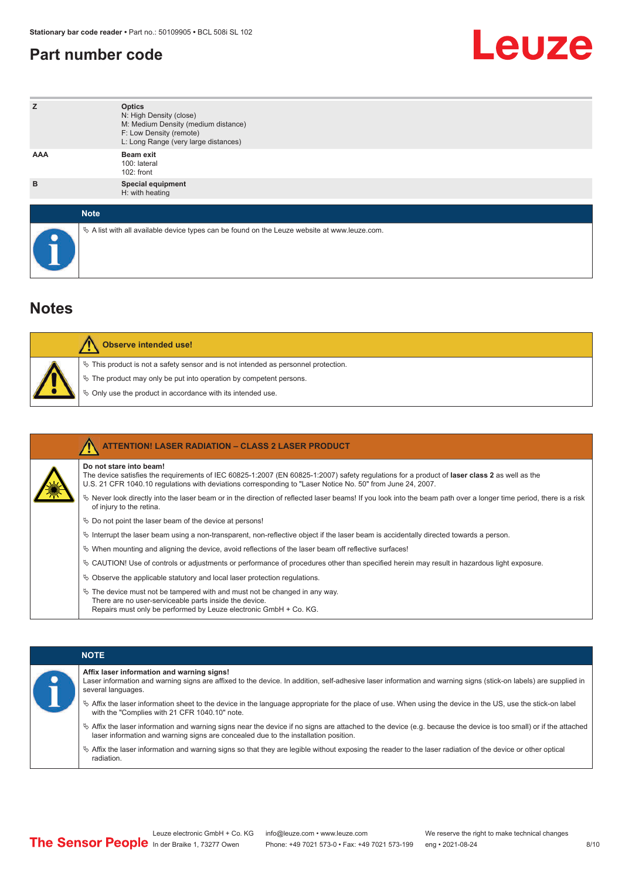# <span id="page-7-0"></span>**Part number code**



| z           | <b>Optics</b><br>N: High Density (close)<br>M: Medium Density (medium distance)<br>F: Low Density (remote)<br>L: Long Range (very large distances) |
|-------------|----------------------------------------------------------------------------------------------------------------------------------------------------|
| AAA         | <b>Beam exit</b><br>100: lateral<br>$102:$ front                                                                                                   |
| B           | <b>Special equipment</b><br>H: with heating                                                                                                        |
| <b>Note</b> |                                                                                                                                                    |
| $\bullet$   | $\&$ A list with all available device types can be found on the Leuze website at www.leuze.com.                                                    |

# **Notes**

| <b>Observe intended use!</b>                                                                                                                                                                                                  |
|-------------------------------------------------------------------------------------------------------------------------------------------------------------------------------------------------------------------------------|
| $\%$ This product is not a safety sensor and is not intended as personnel protection.<br>$\%$ The product may only be put into operation by competent persons.<br>♦ Only use the product in accordance with its intended use. |

| <b>ATTENTION! LASER RADIATION - CLASS 2 LASER PRODUCT</b>                                                                                                                                                                                                                                    |
|----------------------------------------------------------------------------------------------------------------------------------------------------------------------------------------------------------------------------------------------------------------------------------------------|
| Do not stare into beam!<br>The device satisfies the requirements of IEC 60825-1:2007 (EN 60825-1:2007) safety requiations for a product of <b>laser class 2</b> as well as the<br>U.S. 21 CFR 1040.10 requlations with deviations corresponding to "Laser Notice No. 50" from June 24, 2007. |
| $\&$ Never look directly into the laser beam or in the direction of reflected laser beams! If you look into the beam path over a longer time period, there is a risk<br>of injury to the retina.                                                                                             |
| $\%$ Do not point the laser beam of the device at persons!                                                                                                                                                                                                                                   |
| $\%$ Interrupt the laser beam using a non-transparent, non-reflective object if the laser beam is accidentally directed towards a person.                                                                                                                                                    |
| $\%$ When mounting and aligning the device, avoid reflections of the laser beam off reflective surfaces!                                                                                                                                                                                     |
| $\&$ CAUTION! Use of controls or adjustments or performance of procedures other than specified herein may result in hazardous light exposure.                                                                                                                                                |
| $\&$ Observe the applicable statutory and local laser protection regulations.                                                                                                                                                                                                                |
| $\ddot{\phi}$ The device must not be tampered with and must not be changed in any way.<br>There are no user-serviceable parts inside the device.<br>Repairs must only be performed by Leuze electronic GmbH + Co. KG.                                                                        |

|           | <b>NOTE</b>                                                                                                                                                                                                                                                |
|-----------|------------------------------------------------------------------------------------------------------------------------------------------------------------------------------------------------------------------------------------------------------------|
| $\bullet$ | Affix laser information and warning signs!<br>Laser information and warning signs are affixed to the device. In addition, self-adhesive laser information and warning signs (stick-on labels) are supplied in<br>several languages.                        |
|           | the laser information sheet to the device in the language appropriate for the place of use. When using the device in the US, use the stick-on label<br>with the "Complies with 21 CFR 1040.10" note.                                                       |
|           | $\%$ Affix the laser information and warning signs near the device if no signs are attached to the device (e.g. because the device is too small) or if the attached<br>laser information and warning signs are concealed due to the installation position. |
|           | $\%$ Affix the laser information and warning signs so that they are legible without exposing the reader to the laser radiation of the device or other optical<br>radiation.                                                                                |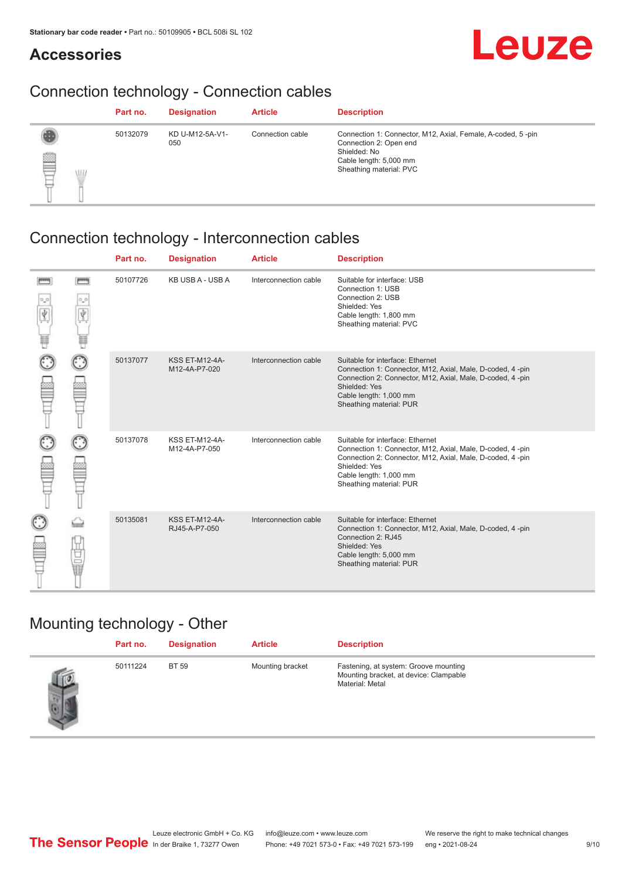# **Accessories**

# Leuze

# Connection technology - Connection cables

|        | Part no. | <b>Designation</b>     | <b>Article</b>   | <b>Description</b>                                                                                                                                         |
|--------|----------|------------------------|------------------|------------------------------------------------------------------------------------------------------------------------------------------------------------|
| ▤<br>W | 50132079 | KD U-M12-5A-V1-<br>050 | Connection cable | Connection 1: Connector, M12, Axial, Female, A-coded, 5-pin<br>Connection 2: Open end<br>Shielded: No<br>Cable length: 5,000 mm<br>Sheathing material: PVC |

# Connection technology - Interconnection cables

|   |      | Part no. | <b>Designation</b>                     | <b>Article</b>        | <b>Description</b>                                                                                                                                                                                                                 |
|---|------|----------|----------------------------------------|-----------------------|------------------------------------------------------------------------------------------------------------------------------------------------------------------------------------------------------------------------------------|
| Ÿ | اسسط | 50107726 | KB USB A - USB A                       | Interconnection cable | Suitable for interface: USB<br>Connection 1: USB<br>Connection 2: USB<br>Shielded: Yes<br>Cable length: 1,800 mm<br>Sheathing material: PVC                                                                                        |
|   |      | 50137077 | <b>KSS ET-M12-4A-</b><br>M12-4A-P7-020 | Interconnection cable | Suitable for interface: Ethernet<br>Connection 1: Connector, M12, Axial, Male, D-coded, 4 -pin<br>Connection 2: Connector, M12, Axial, Male, D-coded, 4 -pin<br>Shielded: Yes<br>Cable length: 1,000 mm<br>Sheathing material: PUR |
|   |      | 50137078 | <b>KSS ET-M12-4A-</b><br>M12-4A-P7-050 | Interconnection cable | Suitable for interface: Ethernet<br>Connection 1: Connector, M12, Axial, Male, D-coded, 4 -pin<br>Connection 2: Connector, M12, Axial, Male, D-coded, 4 -pin<br>Shielded: Yes<br>Cable length: 1,000 mm<br>Sheathing material: PUR |
|   | 世晶   | 50135081 | <b>KSS ET-M12-4A-</b><br>RJ45-A-P7-050 | Interconnection cable | Suitable for interface: Ethernet<br>Connection 1: Connector, M12, Axial, Male, D-coded, 4 -pin<br>Connection 2: RJ45<br>Shielded: Yes<br>Cable length: 5,000 mm<br>Sheathing material: PUR                                         |

# Mounting technology - Other

|        | Part no. | <b>Designation</b> | <b>Article</b>   | <b>Description</b>                                                                                 |
|--------|----------|--------------------|------------------|----------------------------------------------------------------------------------------------------|
| $\phi$ | 50111224 | <b>BT 59</b>       | Mounting bracket | Fastening, at system: Groove mounting<br>Mounting bracket, at device: Clampable<br>Material: Metal |